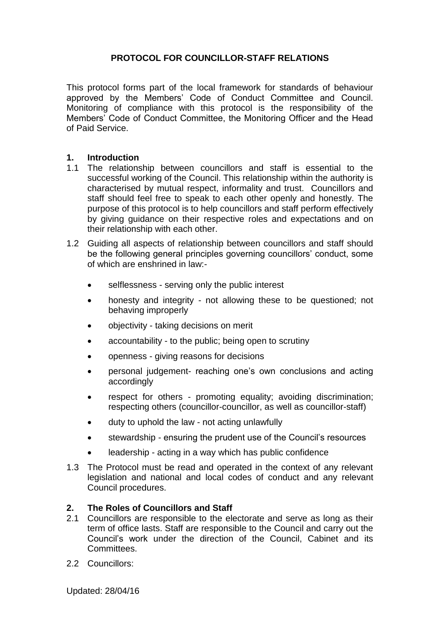# **PROTOCOL FOR COUNCILLOR-STAFF RELATIONS**

This protocol forms part of the local framework for standards of behaviour approved by the Members' Code of Conduct Committee and Council. Monitoring of compliance with this protocol is the responsibility of the Members' Code of Conduct Committee, the Monitoring Officer and the Head of Paid Service.

#### **1. Introduction**

- 1.1 The relationship between councillors and staff is essential to the successful working of the Council. This relationship within the authority is characterised by mutual respect, informality and trust. Councillors and staff should feel free to speak to each other openly and honestly. The purpose of this protocol is to help councillors and staff perform effectively by giving guidance on their respective roles and expectations and on their relationship with each other.
- 1.2 Guiding all aspects of relationship between councillors and staff should be the following general principles governing councillors' conduct, some of which are enshrined in law:
	- selflessness serving only the public interest
	- honesty and integrity not allowing these to be questioned; not behaving improperly
	- objectivity taking decisions on merit
	- accountability to the public; being open to scrutiny
	- openness giving reasons for decisions
	- personal judgement- reaching one's own conclusions and acting accordingly
	- respect for others promoting equality; avoiding discrimination; respecting others (councillor-councillor, as well as councillor-staff)
	- duty to uphold the law not acting unlawfully
	- stewardship ensuring the prudent use of the Council's resources
	- leadership acting in a way which has public confidence
- 1.3 The Protocol must be read and operated in the context of any relevant legislation and national and local codes of conduct and any relevant Council procedures.

# **2. The Roles of Councillors and Staff**<br>**2.1** Councillors are responsible to the eld

- 2.1 Councillors are responsible to the electorate and serve as long as their term of office lasts. Staff are responsible to the Council and carry out the Council's work under the direction of the Council, Cabinet and its **Committees**
- 2.2 Councillors:

Updated: 28/04/16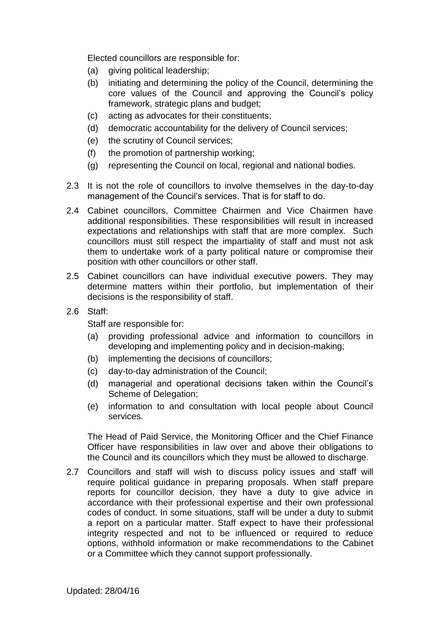Elected councillors are responsible for:

- (a) giving political leadership;
- (b) initiating and determining the policy of the Council, determining the core values of the Council and approving the Council's policy framework, strategic plans and budget;
- (c) acting as advocates for their constituents;
- (d) democratic accountability for the delivery of Council services;
- (e) the scrutiny of Council services;
- (f) the promotion of partnership working;
- (g) representing the Council on local, regional and national bodies.
- 2.3 It is not the role of councillors to involve themselves in the day-to-day management of the Council's services. That is for staff to do.
- 2.4 Cabinet councillors, Committee Chairmen and Vice Chairmen have additional responsibilities. These responsibilities will result in increased expectations and relationships with staff that are more complex. Such councillors must still respect the impartiality of staff and must not ask them to undertake work of a party political nature or compromise their position with other councillors or other staff.
- 2.5 Cabinet councillors can have individual executive powers. They may determine matters within their portfolio, but implementation of their decisions is the responsibility of staff.
- 2.6 Staff:

Staff are responsible for:

- (a) providing professional advice and information to councillors in developing and implementing policy and in decision-making;
- (b) implementing the decisions of councillors;
- (c) day-to-day administration of the Council;
- (d) managerial and operational decisions taken within the Council's Scheme of Delegation;
- (e) information to and consultation with local people about Council services.

The Head of Paid Service, the Monitoring Officer and the Chief Finance Officer have responsibilities in law over and above their obligations to the Council and its councillors which they must be allowed to discharge.

2.7 Councillors and staff will wish to discuss policy issues and staff will require political guidance in preparing proposals. When staff prepare reports for councillor decision, they have a duty to give advice in accordance with their professional expertise and their own professional codes of conduct. In some situations, staff will be under a duty to submit a report on a particular matter. Staff expect to have their professional integrity respected and not to be influenced or required to reduce options, withhold information or make recommendations to the Cabinet or a Committee which they cannot support professionally.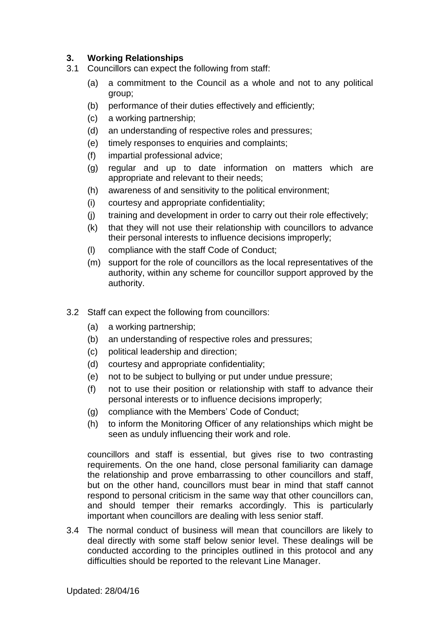# **3. Working Relationships**

- 3.1 Councillors can expect the following from staff:
	- (a) a commitment to the Council as a whole and not to any political group;
	- (b) performance of their duties effectively and efficiently;
	- (c) a working partnership;
	- (d) an understanding of respective roles and pressures;
	- (e) timely responses to enquiries and complaints;
	- (f) impartial professional advice;
	- (g) regular and up to date information on matters which are appropriate and relevant to their needs;
	- (h) awareness of and sensitivity to the political environment;
	- (i) courtesy and appropriate confidentiality;
	- (j) training and development in order to carry out their role effectively;
	- (k) that they will not use their relationship with councillors to advance their personal interests to influence decisions improperly;
	- (l) compliance with the staff Code of Conduct;
	- (m) support for the role of councillors as the local representatives of the authority, within any scheme for councillor support approved by the authority.
- 3.2 Staff can expect the following from councillors:
	- (a) a working partnership;
	- (b) an understanding of respective roles and pressures;
	- (c) political leadership and direction;
	- (d) courtesy and appropriate confidentiality;
	- (e) not to be subject to bullying or put under undue pressure;
	- (f) not to use their position or relationship with staff to advance their personal interests or to influence decisions improperly;
	- (g) compliance with the Members' Code of Conduct;
	- (h) to inform the Monitoring Officer of any relationships which might be seen as unduly influencing their work and role.

councillors and staff is essential, but gives rise to two contrasting requirements. On the one hand, close personal familiarity can damage the relationship and prove embarrassing to other councillors and staff, but on the other hand, councillors must bear in mind that staff cannot respond to personal criticism in the same way that other councillors can, and should temper their remarks accordingly. This is particularly important when councillors are dealing with less senior staff.

3.4 The normal conduct of business will mean that councillors are likely to deal directly with some staff below senior level. These dealings will be conducted according to the principles outlined in this protocol and any difficulties should be reported to the relevant Line Manager.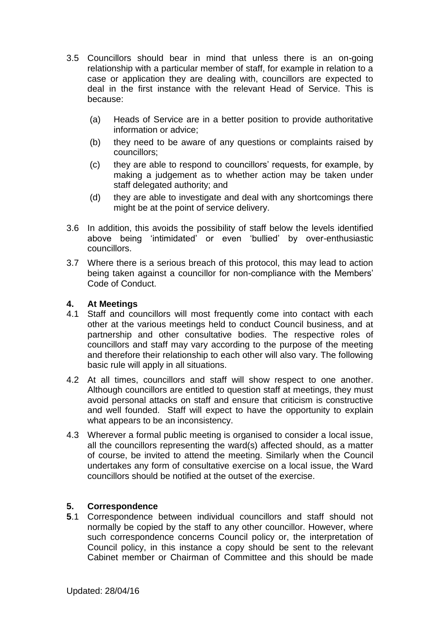- 3.5 Councillors should bear in mind that unless there is an on-going relationship with a particular member of staff, for example in relation to a case or application they are dealing with, councillors are expected to deal in the first instance with the relevant Head of Service. This is because:
	- (a) Heads of Service are in a better position to provide authoritative information or advice;
	- (b) they need to be aware of any questions or complaints raised by councillors;
	- (c) they are able to respond to councillors' requests, for example, by making a judgement as to whether action may be taken under staff delegated authority; and
	- (d) they are able to investigate and deal with any shortcomings there might be at the point of service delivery.
- 3.6 In addition, this avoids the possibility of staff below the levels identified above being 'intimidated' or even 'bullied' by over-enthusiastic councillors.
- 3.7 Where there is a serious breach of this protocol, this may lead to action being taken against a councillor for non-compliance with the Members' Code of Conduct.

## **4. At Meetings**

- 4.1 Staff and councillors will most frequently come into contact with each other at the various meetings held to conduct Council business, and at partnership and other consultative bodies. The respective roles of councillors and staff may vary according to the purpose of the meeting and therefore their relationship to each other will also vary. The following basic rule will apply in all situations.
- 4.2 At all times, councillors and staff will show respect to one another. Although councillors are entitled to question staff at meetings, they must avoid personal attacks on staff and ensure that criticism is constructive and well founded. Staff will expect to have the opportunity to explain what appears to be an inconsistency.
- 4.3 Wherever a formal public meeting is organised to consider a local issue, all the councillors representing the ward(s) affected should, as a matter of course, be invited to attend the meeting. Similarly when the Council undertakes any form of consultative exercise on a local issue, the Ward councillors should be notified at the outset of the exercise.

## **5. Correspondence**

**5**.1 Correspondence between individual councillors and staff should not normally be copied by the staff to any other councillor. However, where such correspondence concerns Council policy or, the interpretation of Council policy, in this instance a copy should be sent to the relevant Cabinet member or Chairman of Committee and this should be made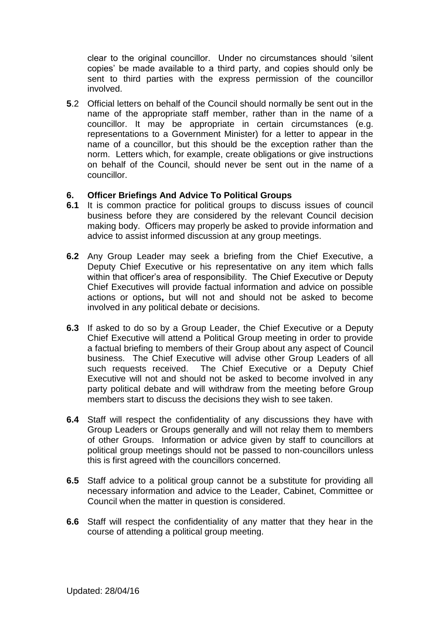clear to the original councillor. Under no circumstances should 'silent copies' be made available to a third party, and copies should only be sent to third parties with the express permission of the councillor involved.

**5**.2 Official letters on behalf of the Council should normally be sent out in the name of the appropriate staff member, rather than in the name of a councillor. It may be appropriate in certain circumstances (e.g. representations to a Government Minister) for a letter to appear in the name of a councillor, but this should be the exception rather than the norm. Letters which, for example, create obligations or give instructions on behalf of the Council, should never be sent out in the name of a councillor.

## **6. Officer Briefings And Advice To Political Groups**

- **6.1** It is common practice for political groups to discuss issues of council business before they are considered by the relevant Council decision making body. Officers may properly be asked to provide information and advice to assist informed discussion at any group meetings.
- **6.2** Any Group Leader may seek a briefing from the Chief Executive, a Deputy Chief Executive or his representative on any item which falls within that officer's area of responsibility. The Chief Executive or Deputy Chief Executives will provide factual information and advice on possible actions or options**,** but will not and should not be asked to become involved in any political debate or decisions.
- **6.3** If asked to do so by a Group Leader, the Chief Executive or a Deputy Chief Executive will attend a Political Group meeting in order to provide a factual briefing to members of their Group about any aspect of Council business. The Chief Executive will advise other Group Leaders of all such requests received. The Chief Executive or a Deputy Chief Executive will not and should not be asked to become involved in any party political debate and will withdraw from the meeting before Group members start to discuss the decisions they wish to see taken.
- **6.4** Staff will respect the confidentiality of any discussions they have with Group Leaders or Groups generally and will not relay them to members of other Groups. Information or advice given by staff to councillors at political group meetings should not be passed to non-councillors unless this is first agreed with the councillors concerned.
- **6.5** Staff advice to a political group cannot be a substitute for providing all necessary information and advice to the Leader, Cabinet, Committee or Council when the matter in question is considered.
- **6.6** Staff will respect the confidentiality of any matter that they hear in the course of attending a political group meeting.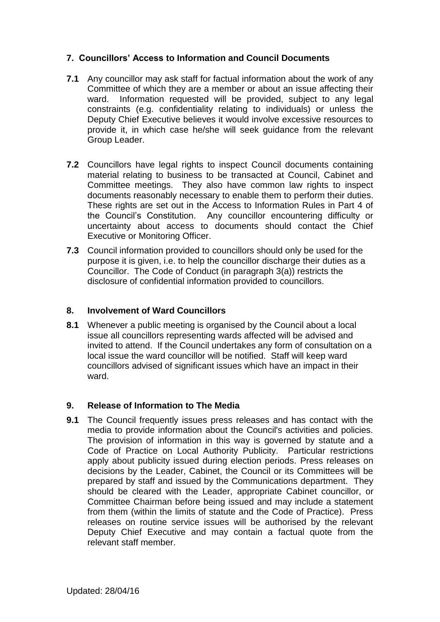# **7. Councillors' Access to Information and Council Documents**

- **7.1** Any councillor may ask staff for factual information about the work of any Committee of which they are a member or about an issue affecting their ward. Information requested will be provided, subject to any legal constraints (e.g. confidentiality relating to individuals) or unless the Deputy Chief Executive believes it would involve excessive resources to provide it, in which case he/she will seek guidance from the relevant Group Leader.
- **7.2** Councillors have legal rights to inspect Council documents containing material relating to business to be transacted at Council, Cabinet and Committee meetings. They also have common law rights to inspect documents reasonably necessary to enable them to perform their duties. These rights are set out in the Access to Information Rules in Part 4 of the Council's Constitution. Any councillor encountering difficulty or uncertainty about access to documents should contact the Chief Executive or Monitoring Officer.
- **7.3** Council information provided to councillors should only be used for the purpose it is given, i.e. to help the councillor discharge their duties as a Councillor. The Code of Conduct (in paragraph 3(a)) restricts the disclosure of confidential information provided to councillors.

#### **8. Involvement of Ward Councillors**

**8.1** Whenever a public meeting is organised by the Council about a local issue all councillors representing wards affected will be advised and invited to attend. If the Council undertakes any form of consultation on a local issue the ward councillor will be notified. Staff will keep ward councillors advised of significant issues which have an impact in their ward.

## **9. Release of Information to The Media**

**9.1** The Council frequently issues press releases and has contact with the media to provide information about the Council's activities and policies. The provision of information in this way is governed by statute and a Code of Practice on Local Authority Publicity. Particular restrictions apply about publicity issued during election periods. Press releases on decisions by the Leader, Cabinet, the Council or its Committees will be prepared by staff and issued by the Communications department. They should be cleared with the Leader, appropriate Cabinet councillor, or Committee Chairman before being issued and may include a statement from them (within the limits of statute and the Code of Practice). Press releases on routine service issues will be authorised by the relevant Deputy Chief Executive and may contain a factual quote from the relevant staff member.